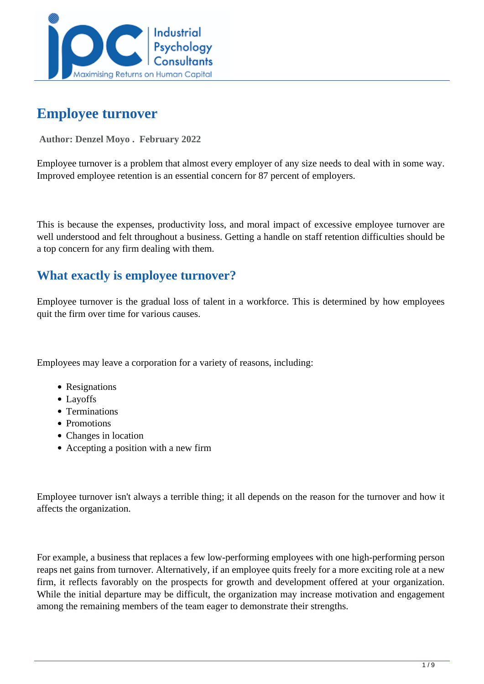

# **Employee turnover**

 **Author: Denzel Moyo . February 2022** 

Employee turnover is a problem that almost every employer of any size needs to deal with in some way. Improved employee retention is an essential concern for 87 percent of employers.

This is because the expenses, productivity loss, and moral impact of excessive employee turnover are well understood and felt throughout a business. Getting a handle on staff retention difficulties should be a top concern for any firm dealing with them.

# **What exactly is employee turnover?**

Employee turnover is the gradual loss of talent in a workforce. This is determined by how employees quit the firm over time for various causes.

Employees may leave a corporation for a variety of reasons, including:

- Resignations
- Layoffs
- Terminations
- Promotions
- Changes in location
- Accepting a position with a new firm

Employee turnover isn't always a terrible thing; it all depends on the reason for the turnover and how it affects the organization.

For example, a business that replaces a few low-performing employees with one high-performing person reaps net gains from turnover. Alternatively, if an employee quits freely for a more exciting role at a new firm, it reflects favorably on the prospects for growth and development offered at your organization. While the initial departure may be difficult, the organization may increase motivation and engagement among the remaining members of the team eager to demonstrate their strengths.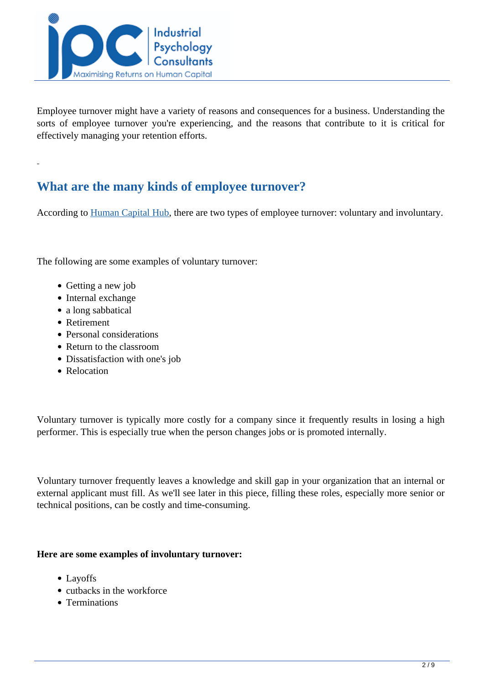

Employee turnover might have a variety of reasons and consequences for a business. Understanding the sorts of employee turnover you're experiencing, and the reasons that contribute to it is critical for effectively managing your retention efforts.

# **What are the many kinds of employee turnover?**

According to [Human Capital Hub](../articles/High-Staff-Turnover-What-Are-The-Causes), there are two types of employee turnover: voluntary and involuntary.

The following are some examples of voluntary turnover:

- Getting a new job
- Internal exchange
- a long sabbatical
- Retirement
- Personal considerations
- Return to the classroom
- Dissatisfaction with one's job
- Relocation

Voluntary turnover is typically more costly for a company since it frequently results in losing a high performer. This is especially true when the person changes jobs or is promoted internally.

Voluntary turnover frequently leaves a knowledge and skill gap in your organization that an internal or external applicant must fill. As we'll see later in this piece, filling these roles, especially more senior or technical positions, can be costly and time-consuming.

#### **Here are some examples of involuntary turnover:**

- Layoffs
- cutbacks in the workforce
- **•** Terminations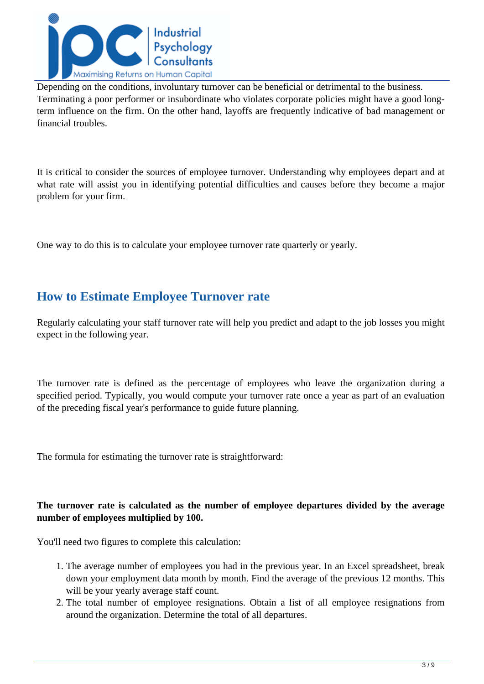

Depending on the conditions, involuntary turnover can be beneficial or detrimental to the business. Terminating a poor performer or insubordinate who violates corporate policies might have a good longterm influence on the firm. On the other hand, layoffs are frequently indicative of bad management or financial troubles.

It is critical to consider the sources of employee turnover. Understanding why employees depart and at what rate will assist you in identifying potential difficulties and causes before they become a major problem for your firm.

One way to do this is to calculate your employee turnover rate quarterly or yearly.

### **How to Estimate Employee Turnover rate**

Regularly calculating your staff turnover rate will help you predict and adapt to the job losses you might expect in the following year.

The turnover rate is defined as the percentage of employees who leave the organization during a specified period. Typically, you would compute your turnover rate once a year as part of an evaluation of the preceding fiscal year's performance to guide future planning.

The formula for estimating the turnover rate is straightforward:

#### **The turnover rate is calculated as the number of employee departures divided by the average number of employees multiplied by 100.**

You'll need two figures to complete this calculation:

- 1. The average number of employees you had in the previous year. In an Excel spreadsheet, break down your employment data month by month. Find the average of the previous 12 months. This will be your yearly average staff count.
- 2. The total number of employee resignations. Obtain a list of all employee resignations from around the organization. Determine the total of all departures.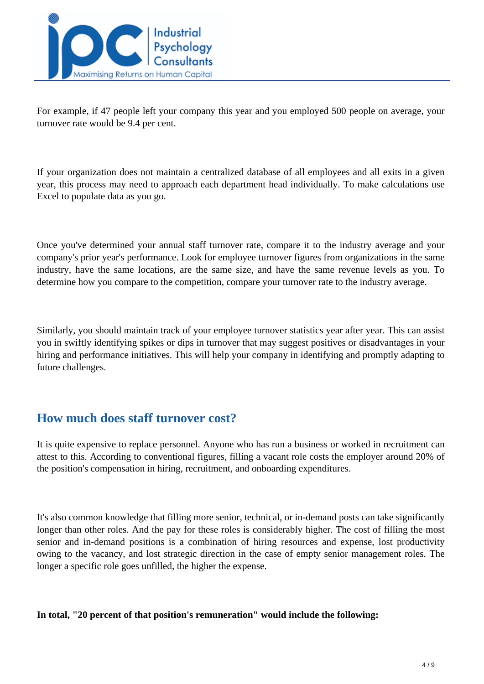

For example, if 47 people left your company this year and you employed 500 people on average, your turnover rate would be 9.4 per cent.

If your organization does not maintain a centralized database of all employees and all exits in a given year, this process may need to approach each department head individually. To make calculations use Excel to populate data as you go.

Once you've determined your annual staff turnover rate, compare it to the industry average and your company's prior year's performance. Look for employee turnover figures from organizations in the same industry, have the same locations, are the same size, and have the same revenue levels as you. To determine how you compare to the competition, compare your turnover rate to the industry average.

Similarly, you should maintain track of your employee turnover statistics year after year. This can assist you in swiftly identifying spikes or dips in turnover that may suggest positives or disadvantages in your hiring and performance initiatives. This will help your company in identifying and promptly adapting to future challenges.

### **How much does staff turnover cost?**

It is quite expensive to replace personnel. Anyone who has run a business or worked in recruitment can attest to this. According to conventional figures, filling a vacant role costs the employer around 20% of the position's compensation in hiring, recruitment, and onboarding expenditures.

It's also common knowledge that filling more senior, technical, or in-demand posts can take significantly longer than other roles. And the pay for these roles is considerably higher. The cost of filling the most senior and in-demand positions is a combination of hiring resources and expense, lost productivity owing to the vacancy, and lost strategic direction in the case of empty senior management roles. The longer a specific role goes unfilled, the higher the expense.

#### **In total, "20 percent of that position's remuneration" would include the following:**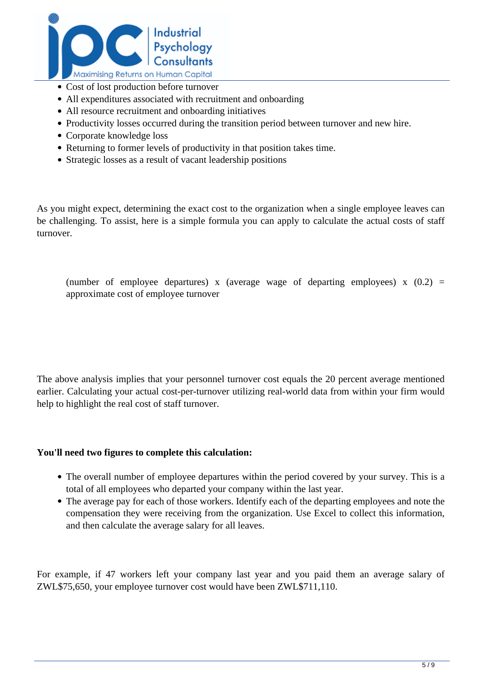

- Cost of lost production before turnover
- All expenditures associated with recruitment and onboarding
- All resource recruitment and onboarding initiatives
- Productivity losses occurred during the transition period between turnover and new hire.
- Corporate knowledge loss
- Returning to former levels of productivity in that position takes time.
- Strategic losses as a result of vacant leadership positions

As you might expect, determining the exact cost to the organization when a single employee leaves can be challenging. To assist, here is a simple formula you can apply to calculate the actual costs of staff turnover.

(number of employee departures) x (average wage of departing employees) x  $(0.2)$  = approximate cost of employee turnover

The above analysis implies that your personnel turnover cost equals the 20 percent average mentioned earlier. Calculating your actual cost-per-turnover utilizing real-world data from within your firm would help to highlight the real cost of staff turnover.

#### **You'll need two figures to complete this calculation:**

- The overall number of employee departures within the period covered by your survey. This is a total of all employees who departed your company within the last year.
- The average pay for each of those workers. Identify each of the departing employees and note the compensation they were receiving from the organization. Use Excel to collect this information, and then calculate the average salary for all leaves.

For example, if 47 workers left your company last year and you paid them an average salary of ZWL\$75,650, your employee turnover cost would have been ZWL\$711,110.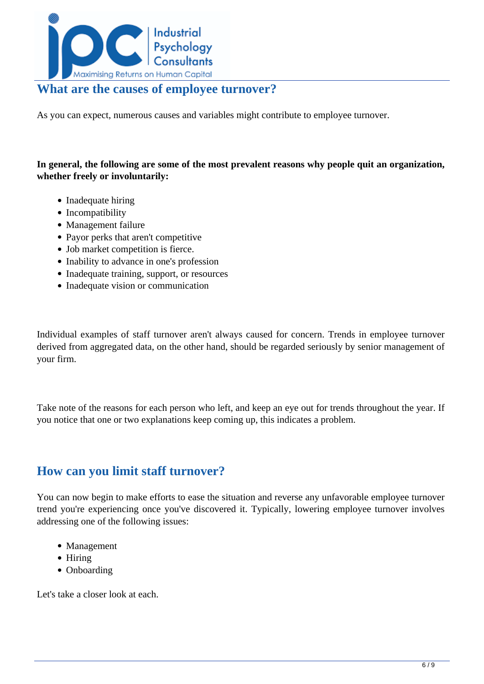

### **What are the causes of employee turnover?**

As you can expect, numerous causes and variables might contribute to employee turnover.

#### **In general, the following are some of the most prevalent reasons why people quit an organization, whether freely or involuntarily:**

- Inadequate hiring
- Incompatibility
- Management failure
- Payor perks that aren't competitive
- Job market competition is fierce.
- Inability to advance in one's profession
- Inadequate training, support, or resources
- Inadequate vision or communication

Individual examples of staff turnover aren't always caused for concern. Trends in employee turnover derived from aggregated data, on the other hand, should be regarded seriously by senior management of your firm.

Take note of the reasons for each person who left, and keep an eye out for trends throughout the year. If you notice that one or two explanations keep coming up, this indicates a problem.

### **How can you limit staff turnover?**

You can now begin to make efforts to ease the situation and reverse any unfavorable employee turnover trend you're experiencing once you've discovered it. Typically, lowering employee turnover involves addressing one of the following issues:

- Management
- Hiring
- Onboarding

Let's take a closer look at each.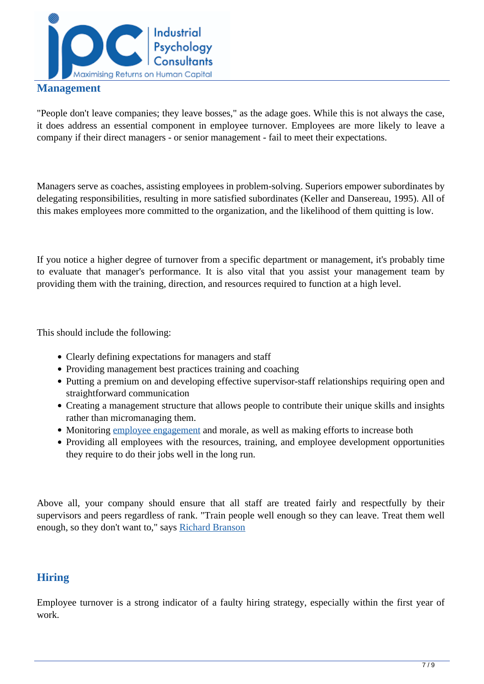

#### **Management**

"People don't leave companies; they leave bosses," as the adage goes. While this is not always the case, it does address an essential component in employee turnover. Employees are more likely to leave a company if their direct managers - or senior management - fail to meet their expectations.

Managers serve as coaches, assisting employees in problem-solving. Superiors empower subordinates by delegating responsibilities, resulting in more satisfied subordinates (Keller and Dansereau, 1995). All of this makes employees more committed to the organization, and the likelihood of them quitting is low.

If you notice a higher degree of turnover from a specific department or management, it's probably time to evaluate that manager's performance. It is also vital that you assist your management team by providing them with the training, direction, and resources required to function at a high level.

This should include the following:

- Clearly defining expectations for managers and staff
- Providing management best practices training and coaching
- Putting a premium on and developing effective supervisor-staff relationships requiring open and straightforward communication
- Creating a management structure that allows people to contribute their unique skills and insights rather than micromanaging them.
- Monitoring [employee engagement](https://recruitee.com/articles/staff-engagement) and morale, as well as making efforts to increase both
- Providing all employees with the resources, training, and employee development opportunities they require to do their jobs well in the long run.

Above all, your company should ensure that all staff are treated fairly and respectfully by their supervisors and peers regardless of rank. "Train people well enough so they can leave. Treat them well enough, so they don't want to," says [Richard Branson](https://www.lessonly.com/employee-engagement-quotes)

### **Hiring**

Employee turnover is a strong indicator of a faulty hiring strategy, especially within the first year of work.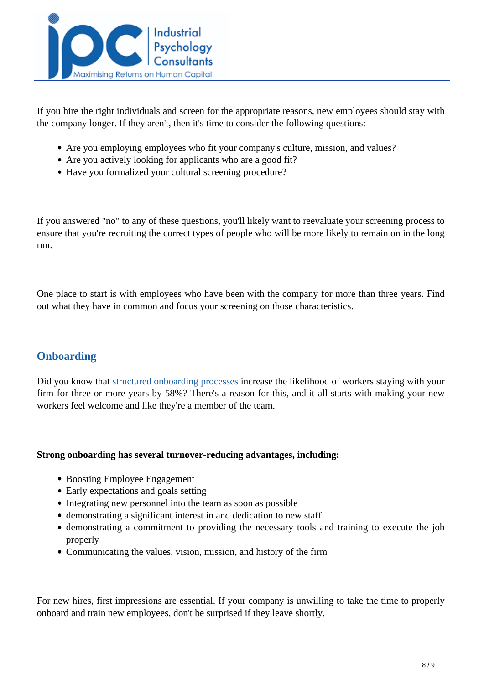

If you hire the right individuals and screen for the appropriate reasons, new employees should stay with the company longer. If they aren't, then it's time to consider the following questions:

- Are you employing employees who fit your company's culture, mission, and values?
- Are you actively looking for applicants who are a good fit?
- Have you formalized your cultural screening procedure?

If you answered "no" to any of these questions, you'll likely want to reevaluate your screening process to ensure that you're recruiting the correct types of people who will be more likely to remain on in the long run.

One place to start is with employees who have been with the company for more than three years. Find out what they have in common and focus your screening on those characteristics.

### **Onboarding**

Did you know that [structured onboarding processes](https://www.trinet.com/insights/7-steps-to-an-effective-employee-onboarding-process) increase the likelihood of workers staying with your firm for three or more years by 58%? There's a reason for this, and it all starts with making your new workers feel welcome and like they're a member of the team.

#### **Strong onboarding has several turnover-reducing advantages, including:**

- Boosting Employee Engagement
- Early expectations and goals setting
- Integrating new personnel into the team as soon as possible
- demonstrating a significant interest in and dedication to new staff
- demonstrating a commitment to providing the necessary tools and training to execute the job properly
- Communicating the values, vision, mission, and history of the firm

For new hires, first impressions are essential. If your company is unwilling to take the time to properly onboard and train new employees, don't be surprised if they leave shortly.